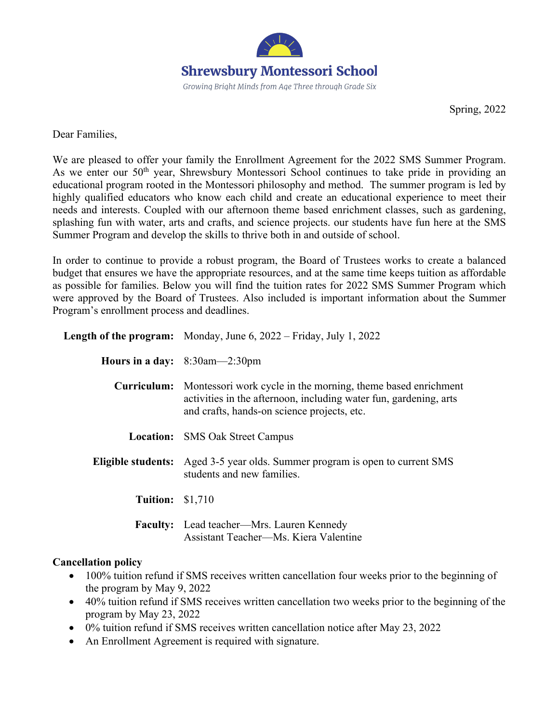

Spring, 2022

Dear Families,

We are pleased to offer your family the Enrollment Agreement for the 2022 SMS Summer Program. As we enter our 50<sup>th</sup> year, Shrewsbury Montessori School continues to take pride in providing an educational program rooted in the Montessori philosophy and method. The summer program is led by highly qualified educators who know each child and create an educational experience to meet their needs and interests. Coupled with our afternoon theme based enrichment classes, such as gardening, splashing fun with water, arts and crafts, and science projects. our students have fun here at the SMS Summer Program and develop the skills to thrive both in and outside of school.

In order to continue to provide a robust program, the Board of Trustees works to create a balanced budget that ensures we have the appropriate resources, and at the same time keeps tuition as affordable as possible for families. Below you will find the tuition rates for 2022 SMS Summer Program which were approved by the Board of Trustees. Also included is important information about the Summer Program's enrollment process and deadlines.

|                         | <b>Length of the program:</b> Monday, June 6, $2022 - \text{Friday}$ , July 1, $2022$                                                                                                               |  |
|-------------------------|-----------------------------------------------------------------------------------------------------------------------------------------------------------------------------------------------------|--|
|                         | Hours in a day: $8:30am-2:30pm$                                                                                                                                                                     |  |
|                         | <b>Curriculum:</b> Montessori work cycle in the morning, theme based enrichment<br>activities in the afternoon, including water fun, gardening, arts<br>and crafts, hands-on science projects, etc. |  |
|                         | <b>Location:</b> SMS Oak Street Campus                                                                                                                                                              |  |
|                         | <b>Eligible students:</b> Aged 3-5 year olds. Summer program is open to current SMS<br>students and new families.                                                                                   |  |
| <b>Tuition: \$1,710</b> |                                                                                                                                                                                                     |  |
|                         | <b>Faculty:</b> Lead teacher—Mrs. Lauren Kennedy<br>Assistant Teacher-Ms. Kiera Valentine                                                                                                           |  |

# **Cancellation policy**

- 100% tuition refund if SMS receives written cancellation four weeks prior to the beginning of the program by May 9, 2022
- 40% tuition refund if SMS receives written cancellation two weeks prior to the beginning of the program by May 23, 2022
- 0% tuition refund if SMS receives written cancellation notice after May 23, 2022
- An Enrollment Agreement is required with signature.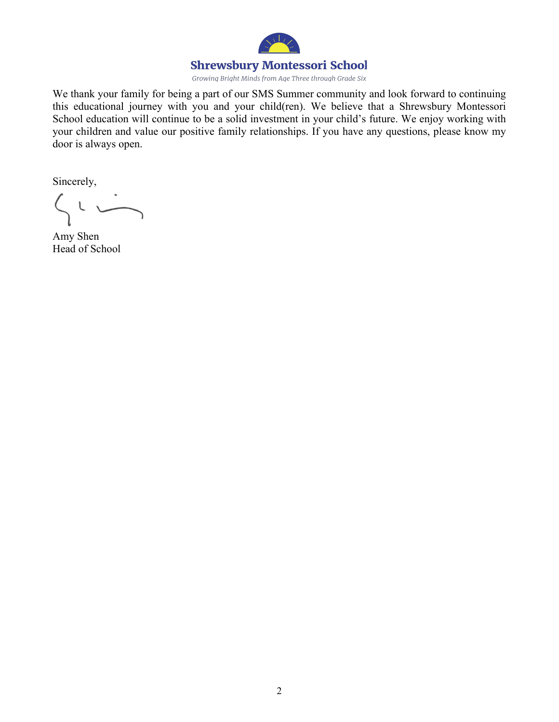

We thank your family for being a part of our SMS Summer community and look forward to continuing this educational journey with you and your child(ren). We believe that a Shrewsbury Montessori School education will continue to be a solid investment in your child's future. We enjoy working with your children and value our positive family relationships. If you have any questions, please know my door is always open.

Sincerely,

L

Amy Shen Head of School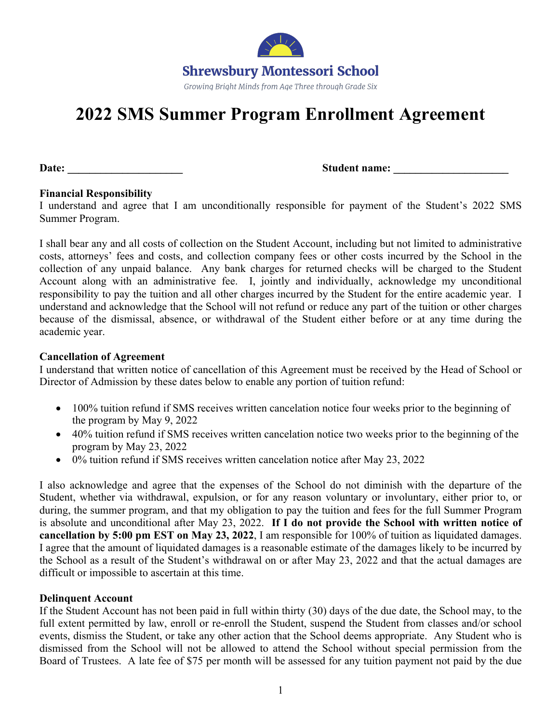

# **2022 SMS Summer Program Enrollment Agreement**

**Date: Date: Date:** *Date:* **<b>***Date: Date: Date:* **<b>***Date: Parameters Parameters Parameters Parameters Parameters Parameters* 

## **Financial Responsibility**

I understand and agree that I am unconditionally responsible for payment of the Student's 2022 SMS Summer Program.

I shall bear any and all costs of collection on the Student Account, including but not limited to administrative costs, attorneys' fees and costs, and collection company fees or other costs incurred by the School in the collection of any unpaid balance. Any bank charges for returned checks will be charged to the Student Account along with an administrative fee. I, jointly and individually, acknowledge my unconditional responsibility to pay the tuition and all other charges incurred by the Student for the entire academic year. I understand and acknowledge that the School will not refund or reduce any part of the tuition or other charges because of the dismissal, absence, or withdrawal of the Student either before or at any time during the academic year.

## **Cancellation of Agreement**

I understand that written notice of cancellation of this Agreement must be received by the Head of School or Director of Admission by these dates below to enable any portion of tuition refund:

- 100% tuition refund if SMS receives written cancelation notice four weeks prior to the beginning of the program by May 9, 2022
- 40% tuition refund if SMS receives written cancelation notice two weeks prior to the beginning of the program by May 23, 2022
- 0% tuition refund if SMS receives written cancelation notice after May 23, 2022

I also acknowledge and agree that the expenses of the School do not diminish with the departure of the Student, whether via withdrawal, expulsion, or for any reason voluntary or involuntary, either prior to, or during, the summer program, and that my obligation to pay the tuition and fees for the full Summer Program is absolute and unconditional after May 23, 2022. **If I do not provide the School with written notice of cancellation by 5:00 pm EST on May 23, 2022**, I am responsible for 100% of tuition as liquidated damages. I agree that the amount of liquidated damages is a reasonable estimate of the damages likely to be incurred by the School as a result of the Student's withdrawal on or after May 23, 2022 and that the actual damages are difficult or impossible to ascertain at this time.

# **Delinquent Account**

If the Student Account has not been paid in full within thirty (30) days of the due date, the School may, to the full extent permitted by law, enroll or re-enroll the Student, suspend the Student from classes and/or school events, dismiss the Student, or take any other action that the School deems appropriate. Any Student who is dismissed from the School will not be allowed to attend the School without special permission from the Board of Trustees. A late fee of \$75 per month will be assessed for any tuition payment not paid by the due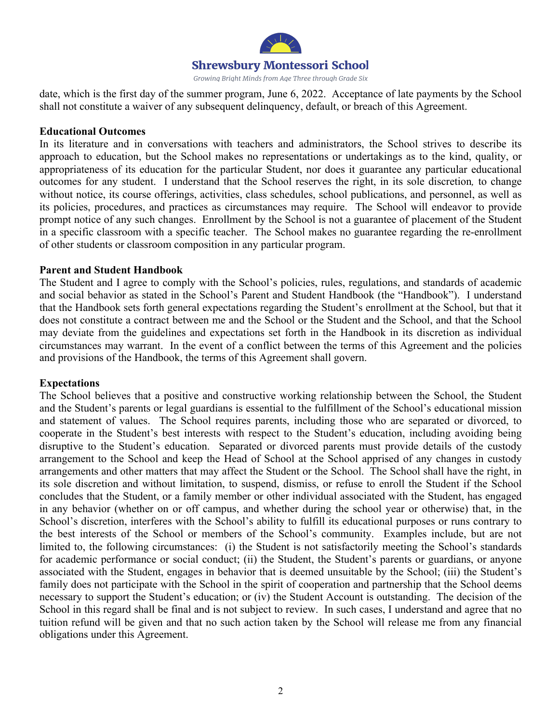

date, which is the first day of the summer program, June 6, 2022. Acceptance of late payments by the School shall not constitute a waiver of any subsequent delinquency, default, or breach of this Agreement.

#### **Educational Outcomes**

In its literature and in conversations with teachers and administrators, the School strives to describe its approach to education, but the School makes no representations or undertakings as to the kind, quality, or appropriateness of its education for the particular Student, nor does it guarantee any particular educational outcomes for any student. I understand that the School reserves the right, in its sole discretion*,* to change without notice, its course offerings, activities, class schedules, school publications, and personnel, as well as its policies, procedures, and practices as circumstances may require. The School will endeavor to provide prompt notice of any such changes. Enrollment by the School is not a guarantee of placement of the Student in a specific classroom with a specific teacher. The School makes no guarantee regarding the re-enrollment of other students or classroom composition in any particular program.

#### **Parent and Student Handbook**

The Student and I agree to comply with the School's policies, rules, regulations, and standards of academic and social behavior as stated in the School's Parent and Student Handbook (the "Handbook"). I understand that the Handbook sets forth general expectations regarding the Student's enrollment at the School, but that it does not constitute a contract between me and the School or the Student and the School, and that the School may deviate from the guidelines and expectations set forth in the Handbook in its discretion as individual circumstances may warrant. In the event of a conflict between the terms of this Agreement and the policies and provisions of the Handbook, the terms of this Agreement shall govern.

#### **Expectations**

The School believes that a positive and constructive working relationship between the School, the Student and the Student's parents or legal guardians is essential to the fulfillment of the School's educational mission and statement of values. The School requires parents, including those who are separated or divorced, to cooperate in the Student's best interests with respect to the Student's education, including avoiding being disruptive to the Student's education. Separated or divorced parents must provide details of the custody arrangement to the School and keep the Head of School at the School apprised of any changes in custody arrangements and other matters that may affect the Student or the School. The School shall have the right, in its sole discretion and without limitation, to suspend, dismiss, or refuse to enroll the Student if the School concludes that the Student, or a family member or other individual associated with the Student, has engaged in any behavior (whether on or off campus, and whether during the school year or otherwise) that, in the School's discretion, interferes with the School's ability to fulfill its educational purposes or runs contrary to the best interests of the School or members of the School's community. Examples include, but are not limited to, the following circumstances: (i) the Student is not satisfactorily meeting the School's standards for academic performance or social conduct; (ii) the Student, the Student's parents or guardians, or anyone associated with the Student, engages in behavior that is deemed unsuitable by the School; (iii) the Student's family does not participate with the School in the spirit of cooperation and partnership that the School deems necessary to support the Student's education; or (iv) the Student Account is outstanding. The decision of the School in this regard shall be final and is not subject to review. In such cases, I understand and agree that no tuition refund will be given and that no such action taken by the School will release me from any financial obligations under this Agreement.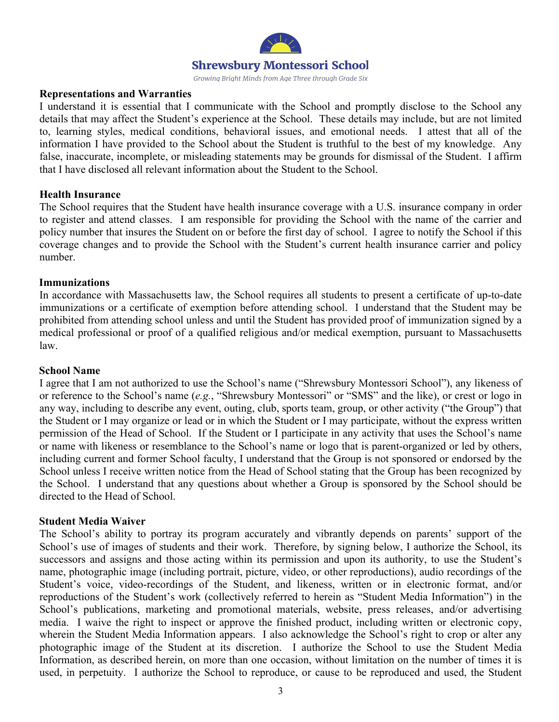

#### **Representations and Warranties**

I understand it is essential that I communicate with the School and promptly disclose to the School any details that may affect the Student's experience at the School. These details may include, but are not limited to, learning styles, medical conditions, behavioral issues, and emotional needs. I attest that all of the information I have provided to the School about the Student is truthful to the best of my knowledge. Any false, inaccurate, incomplete, or misleading statements may be grounds for dismissal of the Student. I affirm that I have disclosed all relevant information about the Student to the School.

#### **Health Insurance**

The School requires that the Student have health insurance coverage with a U.S. insurance company in order to register and attend classes. I am responsible for providing the School with the name of the carrier and policy number that insures the Student on or before the first day of school. I agree to notify the School if this coverage changes and to provide the School with the Student's current health insurance carrier and policy number.

#### **Immunizations**

In accordance with Massachusetts law, the School requires all students to present a certificate of up-to-date immunizations or a certificate of exemption before attending school. I understand that the Student may be prohibited from attending school unless and until the Student has provided proof of immunization signed by a medical professional or proof of a qualified religious and/or medical exemption, pursuant to Massachusetts law.

#### **School Name**

I agree that I am not authorized to use the School's name ("Shrewsbury Montessori School"), any likeness of or reference to the School's name (*e.g.*, "Shrewsbury Montessori" or "SMS" and the like), or crest or logo in any way, including to describe any event, outing, club, sports team, group, or other activity ("the Group") that the Student or I may organize or lead or in which the Student or I may participate, without the express written permission of the Head of School. If the Student or I participate in any activity that uses the School's name or name with likeness or resemblance to the School's name or logo that is parent-organized or led by others, including current and former School faculty, I understand that the Group is not sponsored or endorsed by the School unless I receive written notice from the Head of School stating that the Group has been recognized by the School. I understand that any questions about whether a Group is sponsored by the School should be directed to the Head of School.

#### **Student Media Waiver**

The School's ability to portray its program accurately and vibrantly depends on parents' support of the School's use of images of students and their work. Therefore, by signing below, I authorize the School, its successors and assigns and those acting within its permission and upon its authority, to use the Student's name, photographic image (including portrait, picture, video, or other reproductions), audio recordings of the Student's voice, video-recordings of the Student, and likeness, written or in electronic format, and/or reproductions of the Student's work (collectively referred to herein as "Student Media Information") in the School's publications, marketing and promotional materials, website, press releases, and/or advertising media. I waive the right to inspect or approve the finished product, including written or electronic copy, wherein the Student Media Information appears. I also acknowledge the School's right to crop or alter any photographic image of the Student at its discretion. I authorize the School to use the Student Media Information, as described herein, on more than one occasion, without limitation on the number of times it is used, in perpetuity. I authorize the School to reproduce, or cause to be reproduced and used, the Student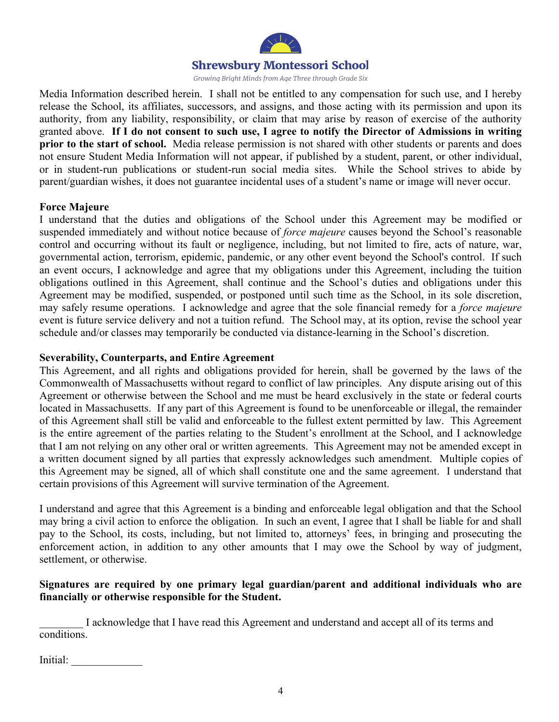

Media Information described herein. I shall not be entitled to any compensation for such use, and I hereby release the School, its affiliates, successors, and assigns, and those acting with its permission and upon its authority, from any liability, responsibility, or claim that may arise by reason of exercise of the authority granted above. **If I do not consent to such use, I agree to notify the Director of Admissions in writing prior to the start of school.** Media release permission is not shared with other students or parents and does not ensure Student Media Information will not appear, if published by a student, parent, or other individual, or in student-run publications or student-run social media sites. While the School strives to abide by parent/guardian wishes, it does not guarantee incidental uses of a student's name or image will never occur.

#### **Force Majeure**

I understand that the duties and obligations of the School under this Agreement may be modified or suspended immediately and without notice because of *force majeure* causes beyond the School's reasonable control and occurring without its fault or negligence, including, but not limited to fire, acts of nature, war, governmental action, terrorism, epidemic, pandemic, or any other event beyond the School's control. If such an event occurs, I acknowledge and agree that my obligations under this Agreement, including the tuition obligations outlined in this Agreement, shall continue and the School's duties and obligations under this Agreement may be modified, suspended, or postponed until such time as the School, in its sole discretion, may safely resume operations. I acknowledge and agree that the sole financial remedy for a *force majeure* event is future service delivery and not a tuition refund. The School may, at its option, revise the school year schedule and/or classes may temporarily be conducted via distance-learning in the School's discretion.

#### **Severability, Counterparts, and Entire Agreement**

This Agreement, and all rights and obligations provided for herein, shall be governed by the laws of the Commonwealth of Massachusetts without regard to conflict of law principles. Any dispute arising out of this Agreement or otherwise between the School and me must be heard exclusively in the state or federal courts located in Massachusetts. If any part of this Agreement is found to be unenforceable or illegal, the remainder of this Agreement shall still be valid and enforceable to the fullest extent permitted by law. This Agreement is the entire agreement of the parties relating to the Student's enrollment at the School, and I acknowledge that I am not relying on any other oral or written agreements. This Agreement may not be amended except in a written document signed by all parties that expressly acknowledges such amendment. Multiple copies of this Agreement may be signed, all of which shall constitute one and the same agreement. I understand that certain provisions of this Agreement will survive termination of the Agreement.

I understand and agree that this Agreement is a binding and enforceable legal obligation and that the School may bring a civil action to enforce the obligation. In such an event, I agree that I shall be liable for and shall pay to the School, its costs, including, but not limited to, attorneys' fees, in bringing and prosecuting the enforcement action, in addition to any other amounts that I may owe the School by way of judgment, settlement, or otherwise.

#### **Signatures are required by one primary legal guardian/parent and additional individuals who are financially or otherwise responsible for the Student.**

I acknowledge that I have read this Agreement and understand and accept all of its terms and conditions.

Initial: